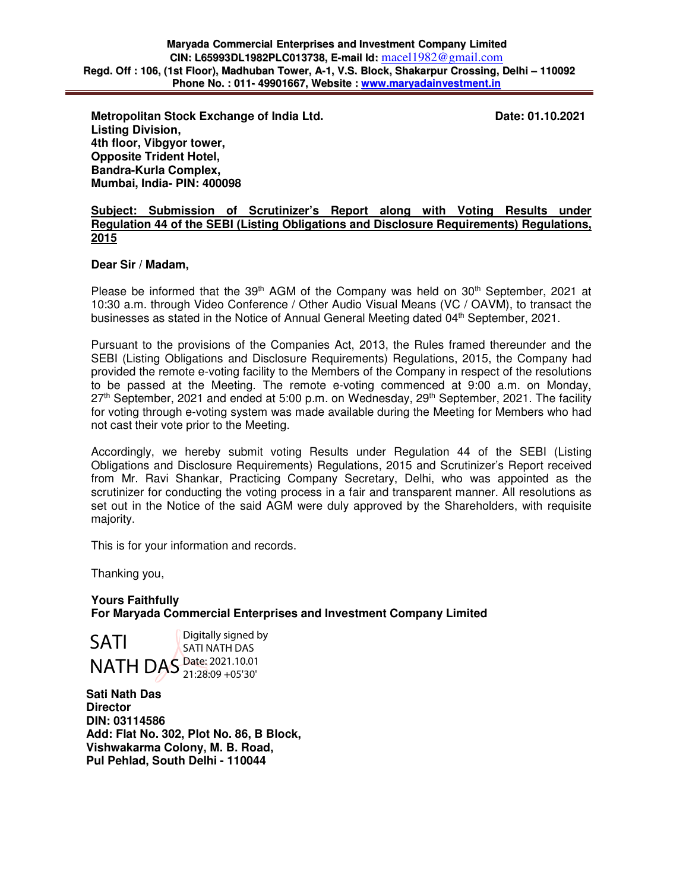**Metropolitan Stock Exchange of India Ltd.** Date: 01.10.2021 **Date: 01.10.2021 Listing Division, 4th floor, Vibgyor tower, Opposite Trident Hotel, Bandra-Kurla Complex, Mumbai, India- PIN: 400098** 

#### **Subject: Submission of Scrutinizer's Report along with Voting Results under Regulation 44 of the SEBI (Listing Obligations and Disclosure Requirements) Regulations, 2015**

#### **Dear Sir / Madam,**

Please be informed that the  $39<sup>th</sup>$  AGM of the Company was held on  $30<sup>th</sup>$  September, 2021 at 10:30 a.m. through Video Conference / Other Audio Visual Means (VC / OAVM), to transact the businesses as stated in the Notice of Annual General Meeting dated 04<sup>th</sup> September, 2021.

Pursuant to the provisions of the Companies Act, 2013, the Rules framed thereunder and the SEBI (Listing Obligations and Disclosure Requirements) Regulations, 2015, the Company had provided the remote e-voting facility to the Members of the Company in respect of the resolutions to be passed at the Meeting. The remote e-voting commenced at 9:00 a.m. on Monday,  $27<sup>th</sup>$  September, 2021 and ended at 5:00 p.m. on Wednesday, 29<sup>th</sup> September, 2021. The facility for voting through e-voting system was made available during the Meeting for Members who had not cast their vote prior to the Meeting.

Accordingly, we hereby submit voting Results under Regulation 44 of the SEBI (Listing Obligations and Disclosure Requirements) Regulations, 2015 and Scrutinizer's Report received from Mr. Ravi Shankar, Practicing Company Secretary, Delhi, who was appointed as the scrutinizer for conducting the voting process in a fair and transparent manner. All resolutions as set out in the Notice of the said AGM were duly approved by the Shareholders, with requisite majority.

This is for your information and records.

Thanking you,

**Yours Faithfully For Maryada Commercial Enterprises and Investment Company Limited** 

SATI NATH DAS Date: 2021.10.01 Digitally signed by SATI NATH DAS 21:28:09 +05'30'

**Sati Nath Das Director DIN: 03114586 Add: Flat No. 302, Plot No. 86, B Block, Vishwakarma Colony, M. B. Road, Pul Pehlad, South Delhi - 110044**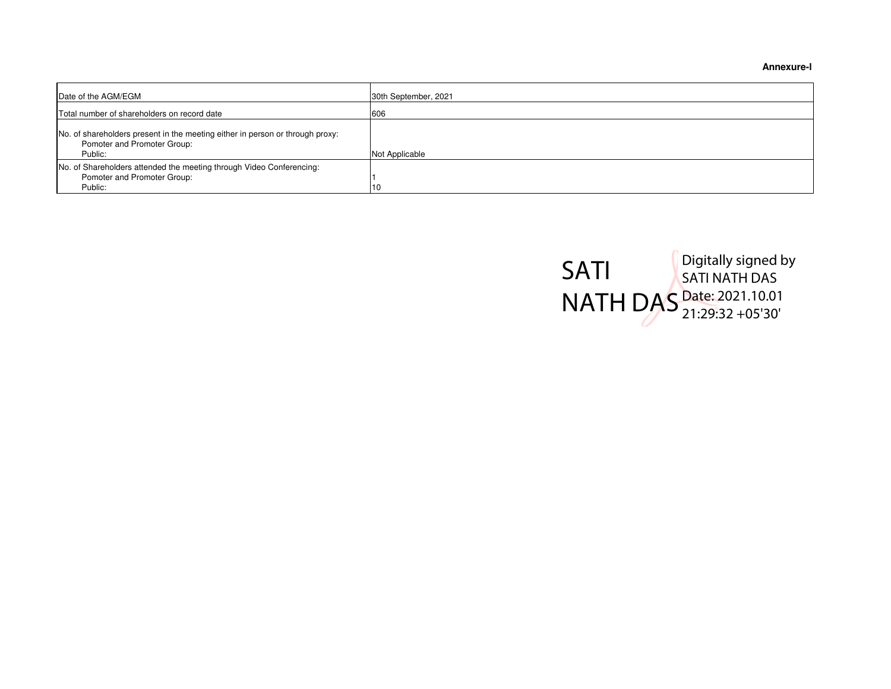**Annexure-l**

| Date of the AGM/EGM                                                                                                     | 30th September, 2021 |
|-------------------------------------------------------------------------------------------------------------------------|----------------------|
| Total number of shareholders on record date                                                                             | 606                  |
| No. of shareholders present in the meeting either in person or through proxy:<br>Pomoter and Promoter Group:<br>Public: | Not Applicable       |
| No. of Shareholders attended the meeting through Video Conferencing:<br>Pomoter and Promoter Group:<br>Public:          | 10                   |

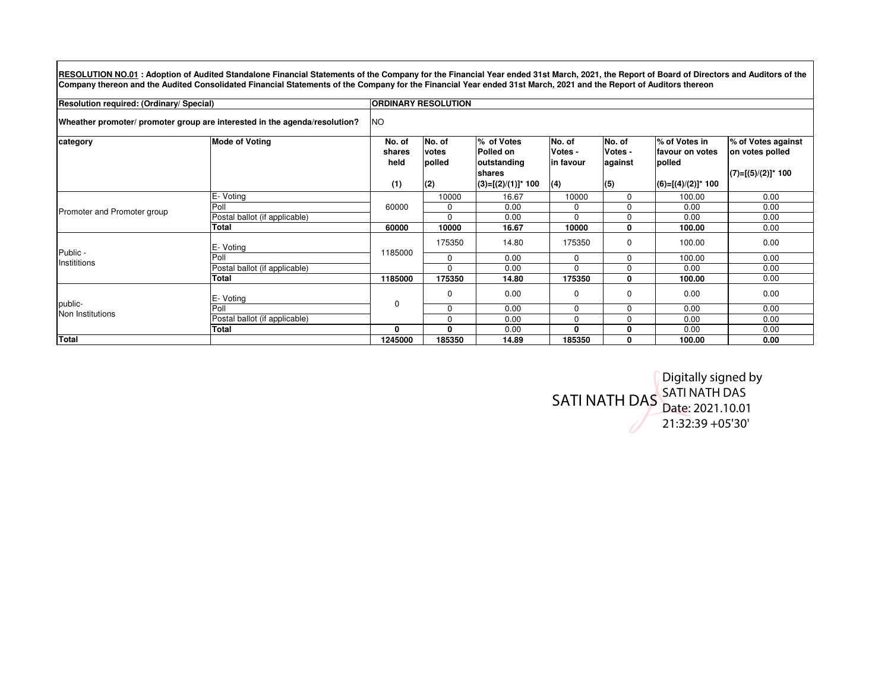RESOLUTION NO.01: Adoption of Audited Standalone Financial Statements of the Company for the Financial Year ended 31st March, 2021, the Report of Board of Directors and Auditors of the **Company thereon and the Audited Consolidated Financial Statements of the Company for the Financial Year ended 31st March, 2021 and the Report of Auditors thereon**

**Resolution required: (Ordinary/ Special)**

**ORDINARY RESOLUTION** 

**Wheather promoter/ promoter group are interested in the agenda/resolution?**NO

| category                    | <b>Mode of Voting</b>         | No. of      | No. of   | % of Votes            | No. of    | No. of   | % of Votes in         | % of Votes against    |  |  |  |
|-----------------------------|-------------------------------|-------------|----------|-----------------------|-----------|----------|-----------------------|-----------------------|--|--|--|
|                             |                               | shares      | votes    | Polled on             | Votes -   | Votes -  | favour on votes       | on votes polled       |  |  |  |
|                             |                               | held        | polled   | outstanding           | in favour | against  | polled                |                       |  |  |  |
|                             |                               |             |          | shares                |           |          |                       | $(7)=[(5)/(2)]^*$ 100 |  |  |  |
|                             |                               | (1)         | (2)      | $(3)=[(2)/(1)]^*$ 100 | (4)       | (5)      | $(6)=[(4)/(2)]^*$ 100 |                       |  |  |  |
| Promoter and Promoter group | E- Voting                     |             | 10000    | 16.67                 | 10000     | $\Omega$ | 100.00                | 0.00                  |  |  |  |
|                             | Poll                          | 60000       | 0        | 0.00                  | 0         | $\Omega$ | 0.00                  | 0.00                  |  |  |  |
|                             | Postal ballot (if applicable) |             | 0        | 0.00                  | $\Omega$  | $\Omega$ | 0.00                  | 0.00                  |  |  |  |
|                             | <b>Total</b>                  | 60000       | 10000    | 16.67                 | 10000     | 0        | 100.00                | 0.00                  |  |  |  |
| Public -<br>Instititions    | E- Voting                     | 185000      | 175350   | 14.80                 | 175350    | 0        | 100.00                | 0.00                  |  |  |  |
|                             | Poll                          |             | 0        | 0.00                  | $\Omega$  | $\Omega$ | 100.00                | 0.00                  |  |  |  |
|                             | Postal ballot (if applicable) |             | $\Omega$ | 0.00                  | $\Omega$  | $\Omega$ | 0.00                  | 0.00                  |  |  |  |
|                             | Total                         | 1185000     | 175350   | 14.80                 | 175350    | 0        | 100.00                | 0.00                  |  |  |  |
| public-<br>Non Institutions | E- Voting                     | $\mathbf 0$ | 0        | 0.00                  | 0         | 0        | 0.00                  | 0.00                  |  |  |  |
|                             | Poll                          |             | 0        | 0.00                  | $\Omega$  | $\Omega$ | 0.00                  | 0.00                  |  |  |  |
|                             | Postal ballot (if applicable) |             | $\Omega$ | 0.00                  | $\Omega$  | $\Omega$ | 0.00                  | 0.00                  |  |  |  |
|                             | Total                         | 0           | 0        | 0.00                  | 0         | 0        | 0.00                  | 0.00                  |  |  |  |
| <b>Total</b>                |                               | 1245000     | 185350   | 14.89                 | 185350    | 0        | 100.00                | 0.00                  |  |  |  |

SATI NATH DAS Digitally signed by SATI NATH DAS<br>Date: 2021.10.01 21:32:39 +05'30'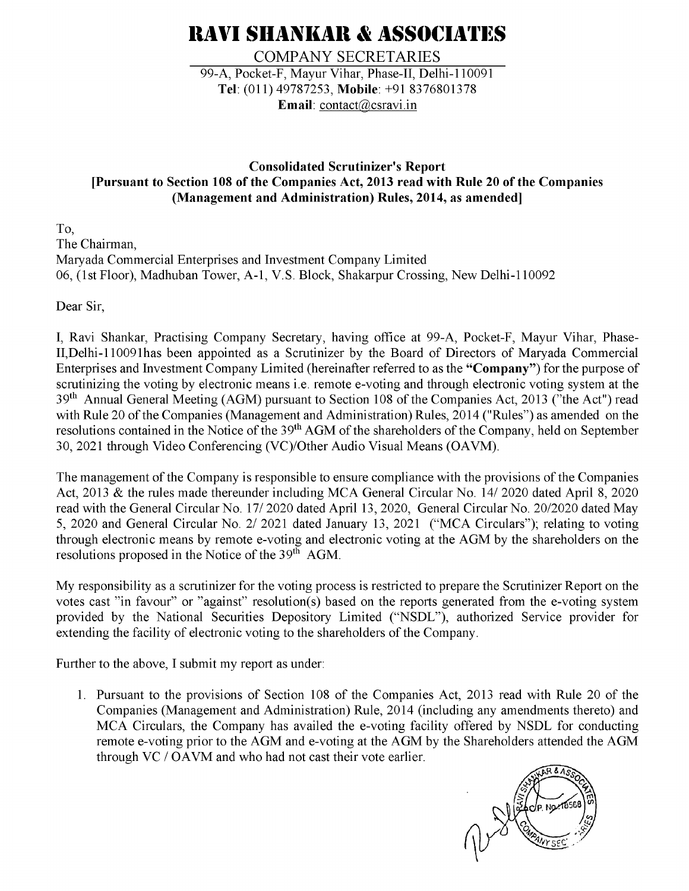# **RAVI SHANKAR & ASSOCIATES**

**COMPANY SECRETARIES** 99-A, Pocket-F, Mayur Vihar, Phase-II, Delhi-110091 Tel: (011) 49787253, Mobile: +91 8376801378 Email:  $contact(\omega)$ csravi.in

### **Consolidated Scrutinizer's Report** [Pursuant to Section 108 of the Companies Act, 2013 read with Rule 20 of the Companies (Management and Administration) Rules, 2014, as amended]

To. The Chairman. Maryada Commercial Enterprises and Investment Company Limited 06, (1st Floor), Madhuban Tower, A-1, V.S. Block, Shakarpur Crossing, New Delhi-110092

Dear Sir.

I, Ravi Shankar, Practising Company Secretary, having office at 99-A, Pocket-F, Mayur Vihar, Phase-II, Delhi-110091has been appointed as a Scrutinizer by the Board of Directors of Maryada Commercial Enterprises and Investment Company Limited (hereinafter referred to as the "Company") for the purpose of scrutinizing the voting by electronic means *i.e.* remote e-voting and through electronic voting system at the 39<sup>th</sup> Annual General Meeting (AGM) pursuant to Section 108 of the Companies Act, 2013 ("the Act") read with Rule 20 of the Companies (Management and Administration) Rules, 2014 ("Rules") as amended on the resolutions contained in the Notice of the 39<sup>th</sup> AGM of the shareholders of the Company, held on September 30, 2021 through Video Conferencing (VC)/Other Audio Visual Means (OAVM).

The management of the Company is responsible to ensure compliance with the provisions of the Companies Act, 2013 & the rules made thereunder including MCA General Circular No. 14/2020 dated April 8, 2020 read with the General Circular No. 17/2020 dated April 13, 2020, General Circular No. 20/2020 dated May 5, 2020 and General Circular No. 2/ 2021 dated January 13, 2021 ("MCA Circulars"); relating to voting through electronic means by remote e-voting and electronic voting at the AGM by the shareholders on the resolutions proposed in the Notice of the 39<sup>th</sup> AGM.

My responsibility as a scrutinizer for the voting process is restricted to prepare the Scrutinizer Report on the votes cast "in favour" or "against" resolution(s) based on the reports generated from the e-voting system provided by the National Securities Depository Limited ("NSDL"), authorized Service provider for extending the facility of electronic voting to the shareholders of the Company.

Further to the above, I submit my report as under:

1. Pursuant to the provisions of Section 108 of the Companies Act, 2013 read with Rule 20 of the Companies (Management and Administration) Rule, 2014 (including any amendments thereto) and MCA Circulars, the Company has availed the e-voting facility offered by NSDL for conducting remote e-voting prior to the AGM and e-voting at the AGM by the Shareholders attended the AGM through VC / OAVM and who had not cast their vote earlier.

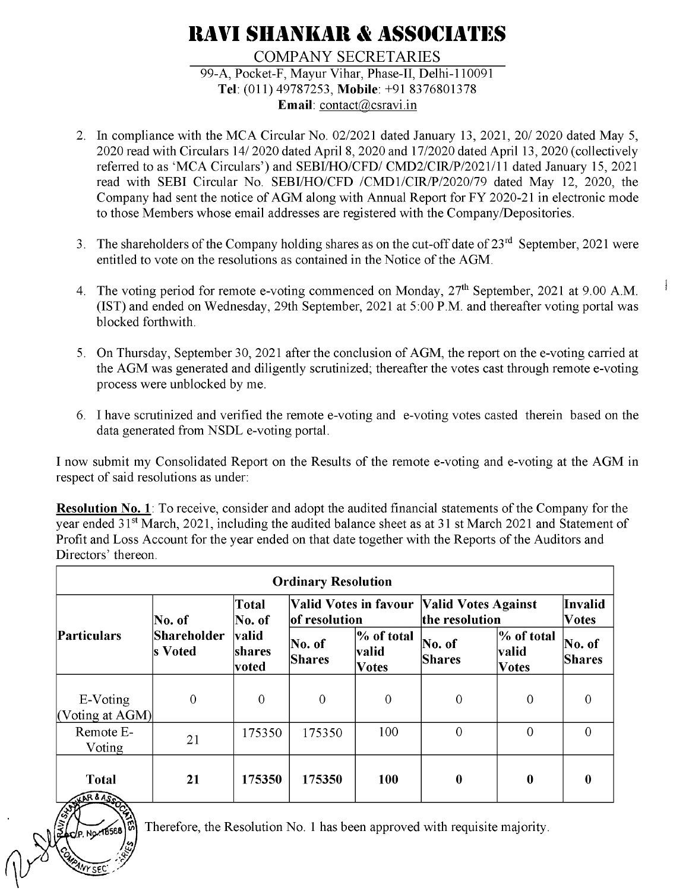# **RAVI SHANKAR & ASSOCIATES**

### **COMPANY SECRETARIES** 99-A, Pocket-F, Mayur Vihar, Phase-II, Delhi-110091 Tel: (011) 49787253, Mobile: +91 8376801378 Email:  $contact(\omega)$ csravi.in

- 2. In compliance with the MCA Circular No. 02/2021 dated January 13, 2021, 20/2020 dated May 5, 2020 read with Circulars 14/2020 dated April 8, 2020 and 17/2020 dated April 13, 2020 (collectively referred to as 'MCA Circulars') and SEBI/HO/CFD/ CMD2/CIR/P/2021/11 dated January 15, 2021 read with SEBI Circular No. SEBI/HO/CFD /CMD1/CIR/P/2020/79 dated May 12, 2020, the Company had sent the notice of AGM along with Annual Report for FY 2020-21 in electronic mode to those Members whose email addresses are registered with the Company/Depositories.
- 3. The shareholders of the Company holding shares as on the cut-off date of 23<sup>rd</sup> September, 2021 were entitled to vote on the resolutions as contained in the Notice of the AGM.
- 4. The voting period for remote e-voting commenced on Monday, 27<sup>th</sup> September, 2021 at 9.00 A.M. (IST) and ended on Wednesday, 29th September, 2021 at 5:00 P.M. and thereafter voting portal was blocked forthwith.

Address.

- 5. On Thursday, September 30, 2021 after the conclusion of AGM, the report on the e-voting carried at the AGM was generated and diligently scrutinized; thereafter the votes cast through remote e-voting process were unblocked by me.
- 6. I have scrutinized and verified the remote e-voting and e-voting votes casted therein based on the data generated from NSDL e-voting portal.

I now submit my Consolidated Report on the Results of the remote e-voting and e-voting at the AGM in respect of said resolutions as under:

**Resolution No. 1**: To receive, consider and adopt the audited financial statements of the Company for the year ended 31<sup>st</sup> March, 2021, including the audited balance sheet as at 31 st March 2021 and Statement of Profit and Loss Account for the year ended on that date together with the Reports of the Auditors and Directors' thereon.

| <b>Ordinary Resolution</b>                  |                                  |                                                     |                                        |                                     |                                              |                                     |                         |  |  |  |
|---------------------------------------------|----------------------------------|-----------------------------------------------------|----------------------------------------|-------------------------------------|----------------------------------------------|-------------------------------------|-------------------------|--|--|--|
| Particulars                                 | No. of<br>Shareholder<br>s Voted | Total<br>No. of<br><b>valid</b><br>shares<br> voted | Valid Votes in favour<br>of resolution |                                     | <b>Valid Votes Against</b><br>the resolution | Invalid<br><b>Votes</b>             |                         |  |  |  |
|                                             |                                  |                                                     | No. of<br><b>Shares</b>                | % of total<br>valid<br><b>Votes</b> | No. of<br><b>Shares</b>                      | % of total<br>valid<br><b>Votes</b> | No. of<br><b>Shares</b> |  |  |  |
| E-Voting<br>$\vert$ (Voting at AGM) $\vert$ | $\mathbf{0}$                     | $\overline{0}$                                      | $\overline{0}$                         | $\overline{0}$                      | $\mathbf{0}$                                 | $\overline{0}$                      |                         |  |  |  |
| Remote E-<br>Voting                         | 21                               | 175350                                              | 175350                                 | 100                                 | $\overline{0}$                               | $\mathbf{0}$                        | $\Omega$                |  |  |  |
| <b>Total</b><br>SHAR & ASSON                | 21                               | 175350                                              | 175350                                 | <b>100</b>                          | $\boldsymbol{0}$                             | $\bf{0}$                            | 0                       |  |  |  |

Therefore, the Resolution No. 1 has been approved with requisite majority.